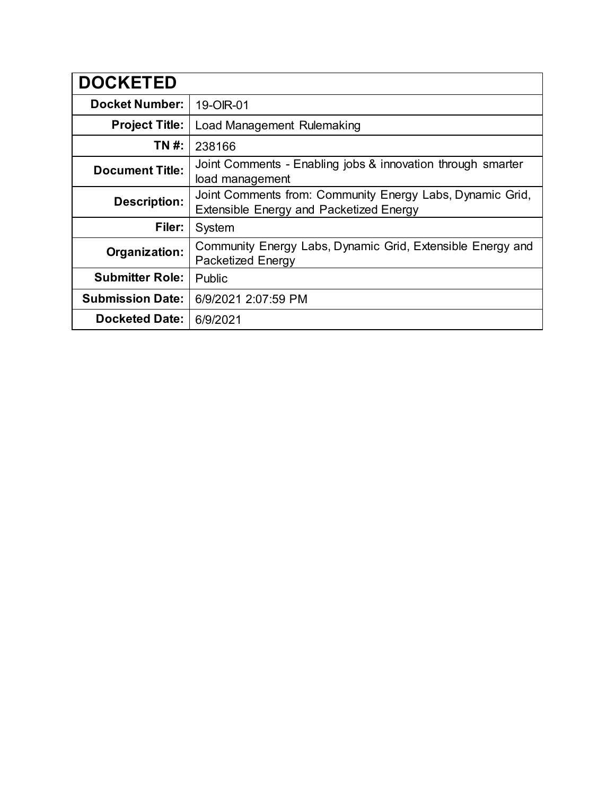| <b>DOCKETED</b>         |                                                                                                      |
|-------------------------|------------------------------------------------------------------------------------------------------|
| <b>Docket Number:</b>   | 19-OIR-01                                                                                            |
| <b>Project Title:</b>   | Load Management Rulemaking                                                                           |
| TN #:                   | 238166                                                                                               |
| <b>Document Title:</b>  | Joint Comments - Enabling jobs & innovation through smarter<br>load management                       |
| <b>Description:</b>     | Joint Comments from: Community Energy Labs, Dynamic Grid,<br>Extensible Energy and Packetized Energy |
| Filer:                  | System                                                                                               |
| Organization:           | Community Energy Labs, Dynamic Grid, Extensible Energy and<br><b>Packetized Energy</b>               |
| <b>Submitter Role:</b>  | Public                                                                                               |
| <b>Submission Date:</b> | 6/9/2021 2:07:59 PM                                                                                  |
| <b>Docketed Date:</b>   | 6/9/2021                                                                                             |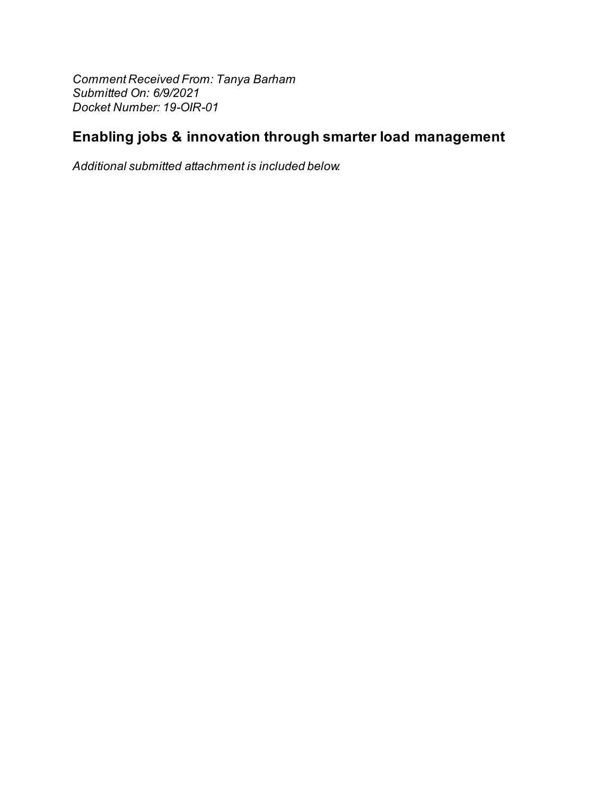Comment Received From: Tanya Barham Submitted On: 6/9/2021 Docket Number: 19-OIR-01

# Enabling jobs & innovation through smarter load management

Additional submitted attachment is included below.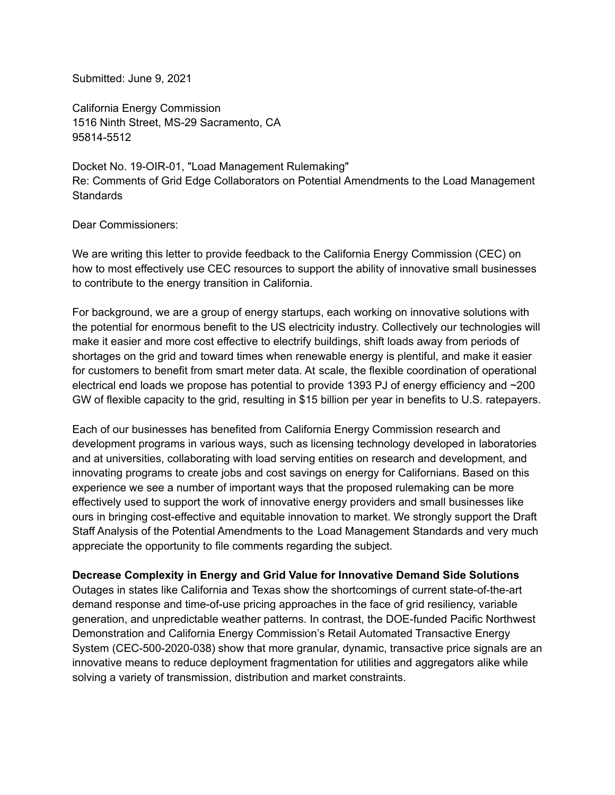Submitted: June 9, 2021

California Energy Commission 1516 Ninth Street, MS-29 Sacramento, CA 95814-5512

Docket No. 19-OIR-01, "Load Management Rulemaking" Re: Comments of Grid Edge Collaborators on Potential Amendments to the Load Management **Standards** 

Dear Commissioners:

We are writing this letter to provide feedback to the California Energy Commission (CEC) on how to most effectively use CEC resources to support the ability of innovative small businesses to contribute to the energy transition in California.

For background, we are a group of energy startups, each working on innovative solutions with the potential for enormous benefit to the US electricity industry. Collectively our technologies will make it easier and more cost effective to electrify buildings, shift loads away from periods of shortages on the grid and toward times when renewable energy is plentiful, and make it easier for customers to benefit from smart meter data. At scale, the flexible coordination of operational electrical end loads we propose has potential to provide 1393 PJ of energy efficiency and ~200 GW of flexible capacity to the grid, resulting in \$15 billion per year in benefits to U.S. ratepayers.

Each of our businesses has benefited from California Energy Commission research and development programs in various ways, such as licensing technology developed in laboratories and at universities, collaborating with load serving entities on research and development, and innovating programs to create jobs and cost savings on energy for Californians. Based on this experience we see a number of important ways that the proposed rulemaking can be more effectively used to support the work of innovative energy providers and small businesses like ours in bringing cost-effective and equitable innovation to market. We strongly support the Draft Staff Analysis of the Potential Amendments to the Load Management Standards and very much appreciate the opportunity to file comments regarding the subject.

### **Decrease Complexity in Energy and Grid Value for Innovative Demand Side Solutions**

Outages in states like California and Texas show the shortcomings of current state-of-the-art demand response and time-of-use pricing approaches in the face of grid resiliency, variable generation, and unpredictable weather patterns. In contrast, the DOE-funded Pacific Northwest Demonstration and California Energy Commission's Retail Automated Transactive Energy System (CEC-500-2020-038) show that more granular, dynamic, transactive price signals are an innovative means to reduce deployment fragmentation for utilities and aggregators alike while solving a variety of transmission, distribution and market constraints.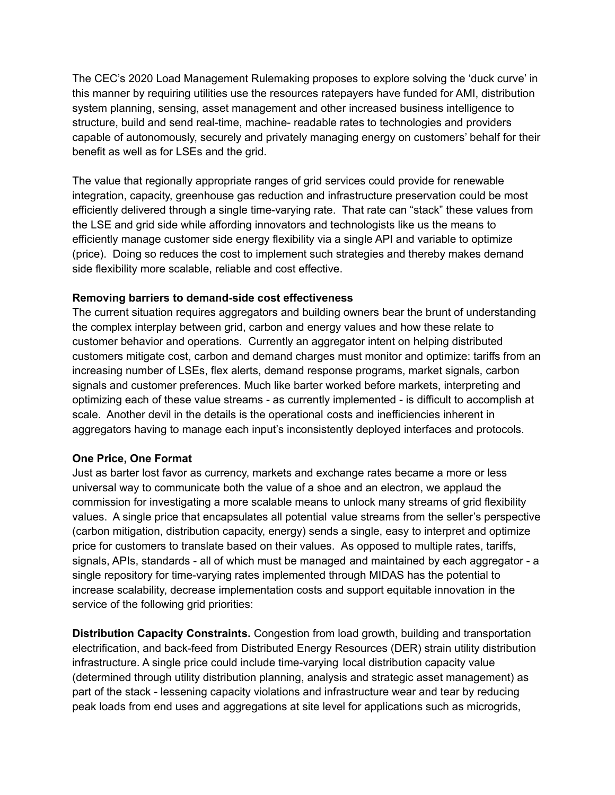The CEC's 2020 Load Management Rulemaking proposes to explore solving the 'duck curve' in this manner by requiring utilities use the resources ratepayers have funded for AMI, distribution system planning, sensing, asset management and other increased business intelligence to structure, build and send real-time, machine- readable rates to technologies and providers capable of autonomously, securely and privately managing energy on customers' behalf for their benefit as well as for LSEs and the grid.

The value that regionally appropriate ranges of grid services could provide for renewable integration, capacity, greenhouse gas reduction and infrastructure preservation could be most efficiently delivered through a single time-varying rate. That rate can "stack" these values from the LSE and grid side while affording innovators and technologists like us the means to efficiently manage customer side energy flexibility via a single API and variable to optimize (price). Doing so reduces the cost to implement such strategies and thereby makes demand side flexibility more scalable, reliable and cost effective.

#### **Removing barriers to demand-side cost effectiveness**

The current situation requires aggregators and building owners bear the brunt of understanding the complex interplay between grid, carbon and energy values and how these relate to customer behavior and operations. Currently an aggregator intent on helping distributed customers mitigate cost, carbon and demand charges must monitor and optimize: tariffs from an increasing number of LSEs, flex alerts, demand response programs, market signals, carbon signals and customer preferences. Much like barter worked before markets, interpreting and optimizing each of these value streams - as currently implemented - is difficult to accomplish at scale. Another devil in the details is the operational costs and inefficiencies inherent in aggregators having to manage each input's inconsistently deployed interfaces and protocols.

#### **One Price, One Format**

Just as barter lost favor as currency, markets and exchange rates became a more or less universal way to communicate both the value of a shoe and an electron, we applaud the commission for investigating a more scalable means to unlock many streams of grid flexibility values. A single price that encapsulates all potential value streams from the seller's perspective (carbon mitigation, distribution capacity, energy) sends a single, easy to interpret and optimize price for customers to translate based on their values. As opposed to multiple rates, tariffs, signals, APIs, standards - all of which must be managed and maintained by each aggregator - a single repository for time-varying rates implemented through MIDAS has the potential to increase scalability, decrease implementation costs and support equitable innovation in the service of the following grid priorities:

**Distribution Capacity Constraints.** Congestion from load growth, building and transportation electrification, and back-feed from Distributed Energy Resources (DER) strain utility distribution infrastructure. A single price could include time-varying local distribution capacity value (determined through utility distribution planning, analysis and strategic asset management) as part of the stack - lessening capacity violations and infrastructure wear and tear by reducing peak loads from end uses and aggregations at site level for applications such as microgrids,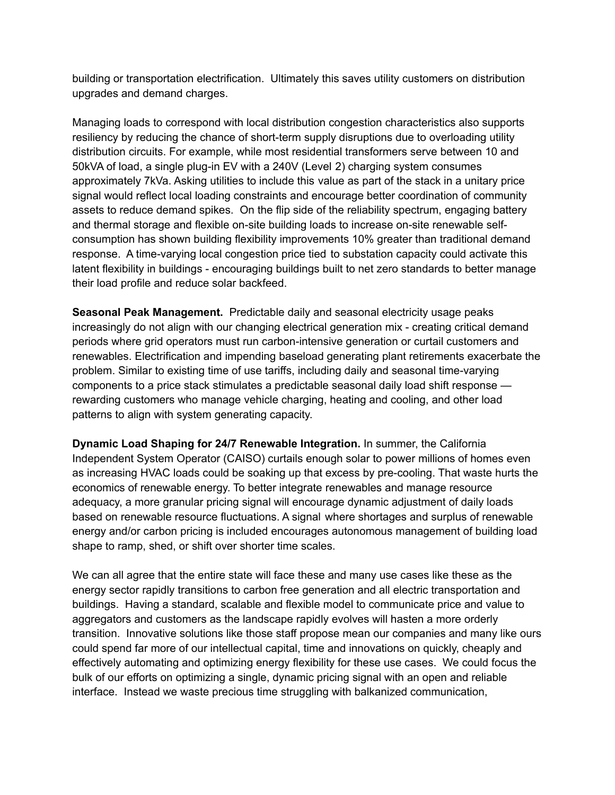building or transportation electrification. Ultimately this saves utility customers on distribution upgrades and demand charges.

Managing loads to correspond with local distribution congestion characteristics also supports resiliency by reducing the chance of short-term supply disruptions due to overloading utility distribution circuits. For example, while most residential transformers serve between 10 and 50kVA of load, a single plug-in EV with a 240V (Level 2) charging system consumes approximately 7kVa. Asking utilities to include this value as part of the stack in a unitary price signal would reflect local loading constraints and encourage better coordination of community assets to reduce demand spikes. On the flip side of the reliability spectrum, engaging battery and thermal storage and flexible on-site building loads to increase on-site renewable selfconsumption has shown building flexibility improvements 10% greater than traditional demand response. A time-varying local congestion price tied to substation capacity could activate this latent flexibility in buildings - encouraging buildings built to net zero standards to better manage their load profile and reduce solar backfeed.

**Seasonal Peak Management.** Predictable daily and seasonal electricity usage peaks increasingly do not align with our changing electrical generation mix - creating critical demand periods where grid operators must run carbon-intensive generation or curtail customers and renewables. Electrification and impending baseload generating plant retirements exacerbate the problem. Similar to existing time of use tariffs, including daily and seasonal time-varying components to a price stack stimulates a predictable seasonal daily load shift response rewarding customers who manage vehicle charging, heating and cooling, and other load patterns to align with system generating capacity.

**Dynamic Load Shaping for 24/7 Renewable Integration.** In summer, the California Independent System Operator (CAISO) curtails enough solar to power millions of homes even as increasing HVAC loads could be soaking up that excess by pre-cooling. That waste hurts the economics of renewable energy. To better integrate renewables and manage resource adequacy, a more granular pricing signal will encourage dynamic adjustment of daily loads based on renewable resource fluctuations. A signal where shortages and surplus of renewable energy and/or carbon pricing is included encourages autonomous management of building load shape to ramp, shed, or shift over shorter time scales.

We can all agree that the entire state will face these and many use cases like these as the energy sector rapidly transitions to carbon free generation and all electric transportation and buildings. Having a standard, scalable and flexible model to communicate price and value to aggregators and customers as the landscape rapidly evolves will hasten a more orderly transition. Innovative solutions like those staff propose mean our companies and many like ours could spend far more of our intellectual capital, time and innovations on quickly, cheaply and effectively automating and optimizing energy flexibility for these use cases. We could focus the bulk of our efforts on optimizing a single, dynamic pricing signal with an open and reliable interface. Instead we waste precious time struggling with balkanized communication,